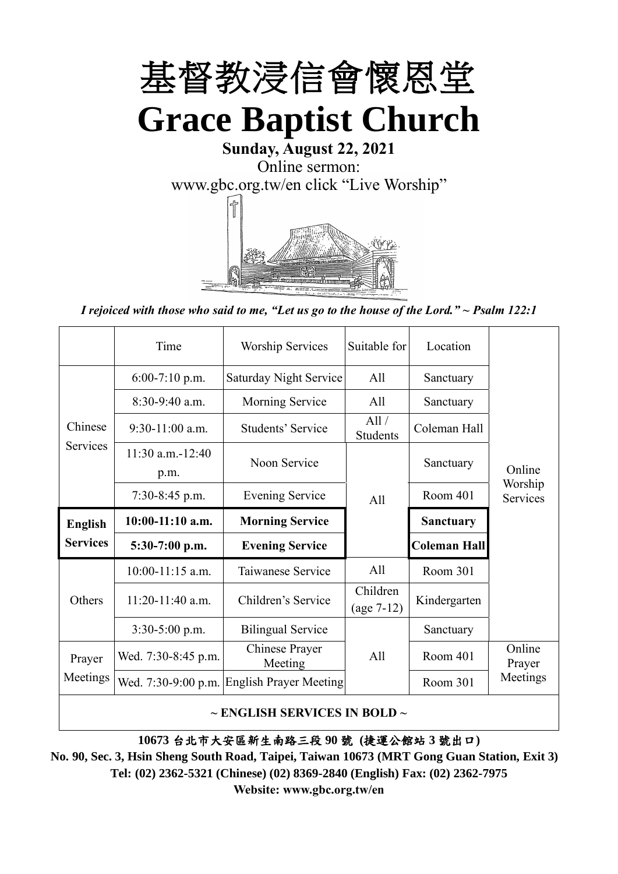

## **Sunday, August 22, 2021** Online sermon: [www.gbc.org.tw/en](http://www.gbc.org.tw/en) click "Live Worship"



*I rejoiced with those who said to me, "Let us go to the house of the Lord." ~ Psalm 122:1*

|                 | Time                          | <b>Worship Services</b>          | Suitable for             | Location            |                     |  |
|-----------------|-------------------------------|----------------------------------|--------------------------|---------------------|---------------------|--|
|                 | $6:00-7:10$ p.m.              | Saturday Night Service           | All                      | Sanctuary           |                     |  |
|                 | 8:30-9:40 a.m.                | Morning Service                  | All                      | Sanctuary           |                     |  |
| Chinese         | $9:30-11:00$ a.m.             | Students' Service                |                          | Coleman Hall        |                     |  |
| <b>Services</b> | $11:30$ a.m. $-12:40$<br>p.m. | Noon Service                     |                          | Sanctuary           | Online              |  |
|                 | $7:30-8:45$ p.m.              | <b>Evening Service</b>           | A11                      | Room 401            | Worship<br>Services |  |
| <b>English</b>  | 10:00-11:10 a.m.              | <b>Morning Service</b>           |                          | <b>Sanctuary</b>    |                     |  |
| <b>Services</b> | $5:30-7:00$ p.m.              | <b>Evening Service</b>           |                          | <b>Coleman Hall</b> |                     |  |
|                 | $10:00-11:15$ a.m.            | Taiwanese Service                | A11                      | Room 301            |                     |  |
| Others          | 11:20-11:40 a.m.              | Children's Service               | Children<br>$(age 7-12)$ | Kindergarten        |                     |  |
|                 | $3:30-5:00$ p.m.              | <b>Bilingual Service</b>         |                          | Sanctuary           |                     |  |
| Prayer          | Wed. 7:30-8:45 p.m.           | <b>Chinese Prayer</b><br>Meeting | A11                      | Room 401            | Online<br>Prayer    |  |
|                 |                               |                                  |                          |                     | Meetings            |  |
| Meetings        | Wed. 7:30-9:00 p.m.           | <b>English Prayer Meeting</b>    |                          | Room 301            |                     |  |

**10673** 台北市大安區新生南路三段 **90** 號 **(**捷運公館站 **3** 號出口**)**

**No. 90, Sec. 3, Hsin Sheng South Road, Taipei, Taiwan 10673 (MRT Gong Guan Station, Exit 3) Tel: (02) 2362-5321 (Chinese) (02) 8369-2840 (English) Fax: (02) 2362-7975 Website: www.gbc.org.tw/en**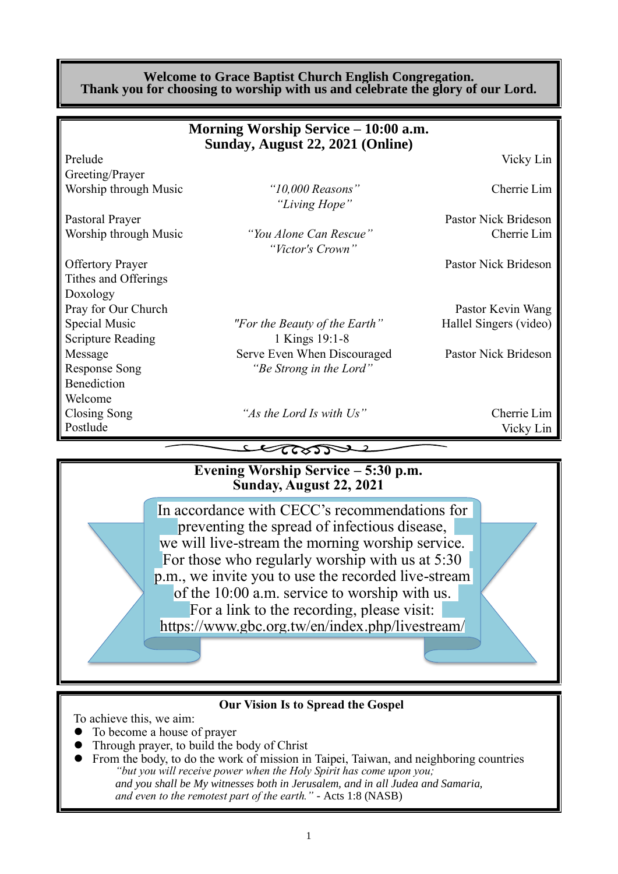#### **Welcome to Grace Baptist Church English Congregation. Thank you for choosing to worship with us and celebrate the glory of our Lord.**

|                          | Morning Worship Service – 10:00 a.m.<br>Sunday, August 22, 2021 (Online) |                        |
|--------------------------|--------------------------------------------------------------------------|------------------------|
| Prelude                  |                                                                          | Vicky Lin              |
| Greeting/Prayer          |                                                                          |                        |
| Worship through Music    | " $10,000$ Reasons"<br>"Living Hope"                                     | Cherrie Lim            |
| Pastoral Prayer          |                                                                          | Pastor Nick Brideson   |
| Worship through Music    | "You Alone Can Rescue"<br>"Victor's Crown"                               | Cherrie Lim            |
| <b>Offertory Prayer</b>  |                                                                          | Pastor Nick Brideson   |
| Tithes and Offerings     |                                                                          |                        |
| Doxology                 |                                                                          |                        |
| Pray for Our Church      |                                                                          | Pastor Kevin Wang      |
| Special Music            | "For the Beauty of the Earth"                                            | Hallel Singers (video) |
| <b>Scripture Reading</b> | 1 Kings 19:1-8                                                           |                        |
| Message                  | Serve Even When Discouraged                                              | Pastor Nick Brideson   |
| <b>Response Song</b>     | "Be Strong in the Lord"                                                  |                        |
| Benediction              |                                                                          |                        |
| Welcome                  |                                                                          |                        |
| Closing Song             | "As the Lord Is with Us"                                                 | Cherrie Lim            |
| Postlude                 |                                                                          | Vicky Lin              |
|                          | $\epsilon$ atso $\tau$                                                   |                        |
|                          | Evening Worship Service – 5:30 p.m.                                      |                        |

# **Sunday, August 22, 2021**

In accordance with CECC's recommendations for preventing the spread of infectious disease, we will live-stream the morning worship service. For those who regularly worship with us at 5:30 p.m., we invite you to use the recorded live-stream of the 10:00 a.m. service to worship with us. For a link to the recording, please visit: https://www.gbc.org.tw/en/index.php/livestream/

#### **Our Vision Is to Spread the Gospel**

To achieve this, we aim:

- ⚫ To become a house of prayer
- ⚫ Through prayer, to build the body of Christ
- ⚫ From the body, to do the work of mission in Taipei, Taiwan, and neighboring countries *"but you will receive power when the Holy Spirit has come upon you; and you shall be My witnesses both in Jerusalem, and in all Judea and Samaria, and even to the remotest part of the earth." -* Acts 1:8 (NASB)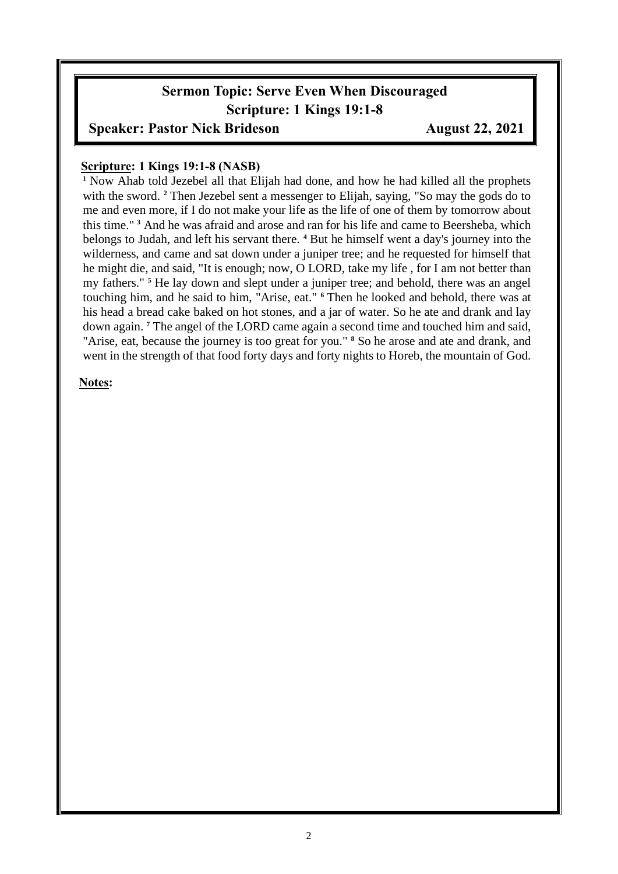### **Sermon Topic: Serve Even When Discouraged Scripture: 1 Kings 19:1-8**

### **Speaker: Pastor Nick Brideson** August 22, 2021

#### **Scripture: 1 Kings 19:1-8 (NASB)**

**<sup>1</sup>** Now Ahab told Jezebel all that Elijah had done, and how he had killed all the prophets with the sword. <sup>2</sup> Then Jezebel sent a messenger to Elijah, saying, "So may the gods do to me and even more, if I do not make your life as the life of one of them by tomorrow about this time." **<sup>3</sup>** And he was afraid and arose and ran for his life and came to Beersheba, which belongs to Judah, and left his servant there. **<sup>4</sup>** But he himself went a day's journey into the wilderness, and came and sat down under a juniper tree; and he requested for himself that he might die, and said, "It is enough; now, O LORD, take my life , for I am not better than my fathers." **<sup>5</sup>** He lay down and slept under a juniper tree; and behold, there was an angel touching him, and he said to him, "Arise, eat." **<sup>6</sup>** Then he looked and behold, there was at his head a bread cake baked on hot stones, and a jar of water. So he ate and drank and lay down again. **<sup>7</sup>** The angel of the LORD came again a second time and touched him and said, "Arise, eat, because the journey is too great for you." **<sup>8</sup>** So he arose and ate and drank, and went in the strength of that food forty days and forty nights to Horeb, the mountain of God.

#### **Notes:**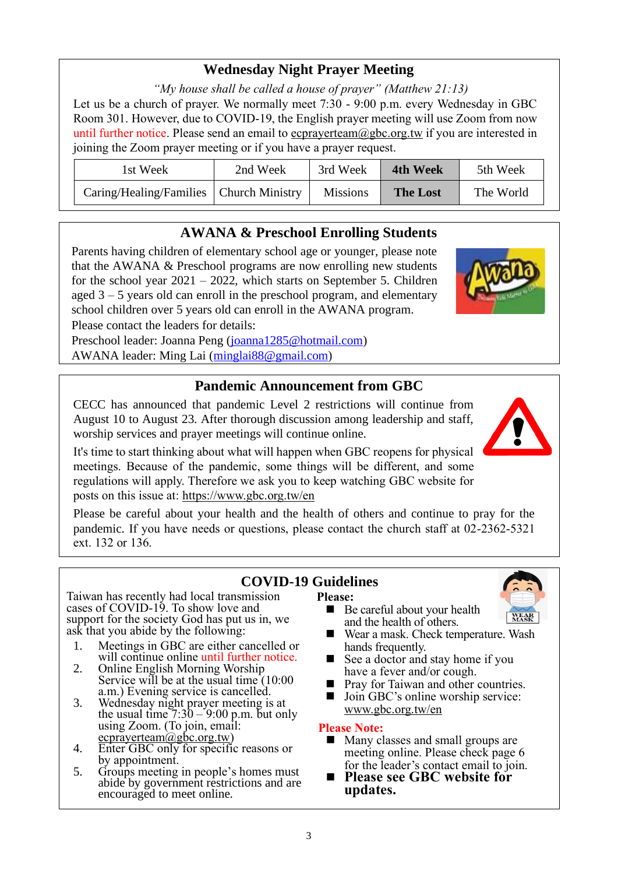### **Wednesday Night Prayer Meeting**

*"My house shall be called a house of prayer" (Matthew 21:13)*

Let us be a church of prayer. We normally meet 7:30 - 9:00 p.m. every Wednesday in GBC Room 301. However, due to COVID-19, the English prayer meeting will use Zoom from now until further notice. Please send an email to ecprayerteam@gbc.org.tw if you are interested in joining the Zoom prayer meeting or if you have a prayer request.

| 1st Week                                  | 2nd Week | 3rd Week        | 4th Week        | 5th Week  |
|-------------------------------------------|----------|-----------------|-----------------|-----------|
| Caring/Healing/Families   Church Ministry |          | <b>Missions</b> | <b>The Lost</b> | The World |

### **AWANA & Preschool Enrolling Students**

Parents having children of elementary school age or younger, please note that the AWANA & Preschool programs are now enrolling new students for the school year 2021 – 2022, which starts on September 5. Children aged 3 – 5 years old can enroll in the preschool program, and elementary school children over 5 years old can enroll in the AWANA program. Please contact the leaders for details:

Preschool leader: Joanna Peng [\(joanna1285@hotmail.com\)](mailto:joanna1285@hotmail.com) AWANA leader: Ming Lai [\(minglai88@gmail.com\)](mailto:minglai88@gmail.com)

#### **Pandemic Announcement from GBC**

CECC has announced that pandemic Level 2 restrictions will continue from August 10 to August 23. After thorough discussion among leadership and staff, worship services and prayer meetings will continue online.

It's time to start thinking about what will happen when GBC reopens for physical meetings. Because of the pandemic, some things will be different, and some regulations will apply. Therefore we ask you to keep watching GBC website for posts on this issue at:<https://www.gbc.org.tw/en>

Please be careful about your health and the health of others and continue to pray for the pandemic. If you have needs or questions, please contact the church staff at 02-2362-5321 ext. 132 or 136.

#### **COVID-19 Guidelines**

**Please:**



- Taiwan has recently had local transmission cases of COVID-19. To show love and support for the society God has put us in, we ask that you abide by the following:
	- 1. Meetings in GBC are either cancelled or will continue online until further notice.
	- 2. Online English Morning Worship Service will be at the usual time (10:00) a.m.) Evening service is cancelled.
	- 3. Wednesday night prayer meeting is at the usual time  $7:30 - 9:00$  p.m. but only using Zoom. (To join, email:  $ecprayerteam@gbc.org.tw)$
	- 4. Enter GBC only for specific reasons or by appointment.
	- 5. Groups meeting in people's homes must abide by government restrictions and are encouraged to meet online.
- Be careful about your health and the health of others.
- Wear a mask. Check temperature. Wash hands frequently.
- $\Box$  See a doctor and stay home if you have a fever and/or cough.
- Pray for Taiwan and other countries.
- Join GBC's online worship service: www.gbc.org.tw/en

#### **Please Note:**

- Many classes and small groups are meeting online. Please check page 6 for the leader's contact email to join.
- ◼ **Please see GBC website for updates.**

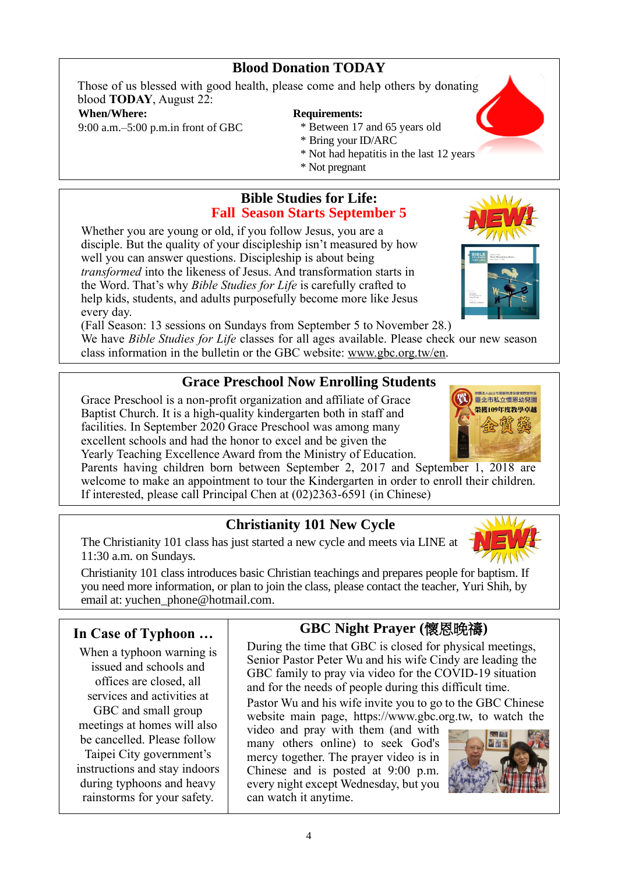### **Blood Donation TODAY**

Those of us blessed with good health, please come and help others by donating blood **TODAY**, August 22:

#### **When/Where:**

9:00 a.m.–5:00 p.m.in front of GBC

### **Requirements:**

- \* Between 17 and 65 years old
- \* Bring your ID/ARC
- \* Not had hepatitis in the last 12 years
- \* Not pregnant

### **Bible Studies for Life: Fall Season Starts September 5**

Whether you are young or old, if you follow Jesus, you are a disciple. But the quality of your discipleship isn't measured by how well you can answer questions. Discipleship is about being *transformed* into the likeness of Jesus. And transformation starts in the Word. That's why *Bible Studies for Life* is carefully crafted to help kids, students, and adults purposefully become more like Jesus every day.

(Fall Season: 13 sessions on Sundays from September 5 to November 28.)

We have *Bible Studies for Life* classes for all ages available. Please check our new season class information in the bulletin or the GBC website: www.gbc.org.tw/en.

### **Grace Preschool Now Enrolling Students**

Grace Preschool is a non-profit organization and affiliate of Grace Baptist Church. It is a high-quality kindergarten both in staff and facilities. In September 2020 Grace Preschool was among many excellent schools and had the honor to excel and be given the Yearly Teaching Excellence Award from the Ministry of Education.

Parents having children born between September 2, 2017 and September 1, 2018 are welcome to make an appointment to tour the Kindergarten in order to enroll their children. If interested, please call Principal Chen at (02)2363-6591 (in Chinese)

### **Christianity 101 New Cycle**

The Christianity 101 class has just started a new cycle and meets via LINE at 11:30 a.m. on Sundays.

Christianity 101 class introduces basic Christian teachings and prepares people for baptism. If you need more information, or plan to join the class, please contact the teacher, Yuri Shih, by email at: [yuchen\\_phone@hotmail.com.](mailto:yuchen_phone@hotmail.com)

### **In Case of Typhoon …**

When a typhoon warning is issued and schools and offices are closed, all services and activities at GBC and small group meetings at homes will also be cancelled. Please follow Taipei City government's instructions and stay indoors during typhoons and heavy rainstorms for your safety.

### **GBC Night Prayer (**懷恩晚禱**)**

During the time that GBC is closed for physical meetings, Senior Pastor Peter Wu and his wife Cindy are leading the GBC family to pray via video for the COVID-19 situation and for the needs of people during this difficult time.

Pastor Wu and his wife invite you to go to the GBC Chinese website main page, https://www.gbc.org.tw, to watch the

video and pray with them (and with many others online) to seek God's mercy together. The prayer video is in Chinese and is posted at 9:00 p.m. every night except Wednesday, but you can watch it anytime.





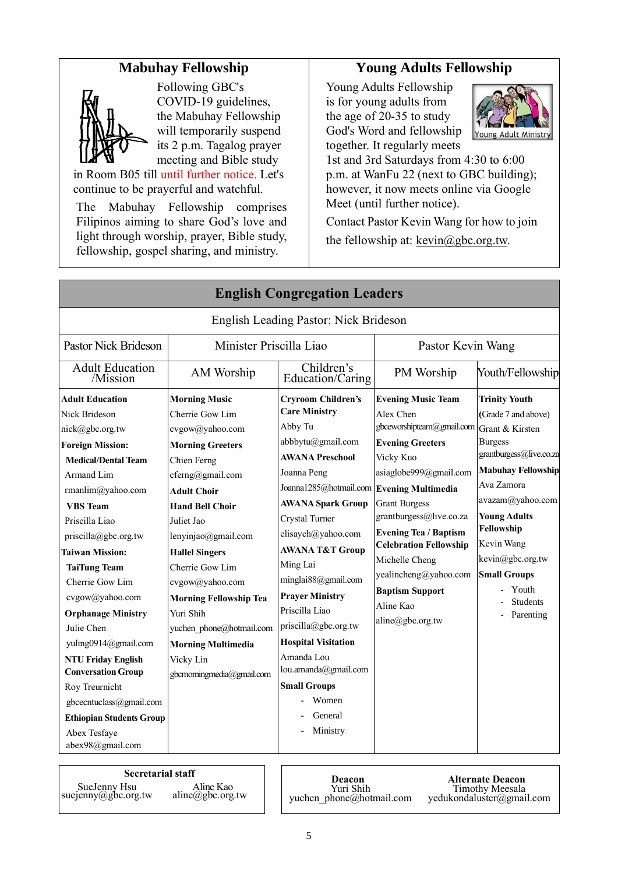### **Mabuhay Fellowship**



Following GBC's COVID-19 guidelines, the Mabuhay Fellowship will temporarily suspend its 2 p.m. Tagalog prayer meeting and Bible study

in Room B05 till until further notice. Let's continue to be prayerful and watchful.

The Mabuhay Fellowship comprises Filipinos aiming to share God's love and light through worship, prayer, Bible study, fellowship, gospel sharing, and ministry.

### **Young Adults Fellowship**

Young Adults Fellowship is for young adults from the age of 20-35 to study God's Word and fellowship together. It regularly meets



1st and 3rd Saturdays from 4:30 to 6:00 p.m. at WanFu 22 (next to GBC building); however, it now meets online via Google Meet (until further notice).

Contact Pastor Kevin Wang for how to join the fellowship at:  $kevin@gbc.org.tw$ .

| <b>English Congregation Leaders</b>                                                                                                                                                                                                                                                                        |                                                                                                                                                                                                                                        |                                                                                                                                                                                                                                                                           |                                                                                                                                                                                                                                                                             |                                                                                                                                                                                                                                                   |  |
|------------------------------------------------------------------------------------------------------------------------------------------------------------------------------------------------------------------------------------------------------------------------------------------------------------|----------------------------------------------------------------------------------------------------------------------------------------------------------------------------------------------------------------------------------------|---------------------------------------------------------------------------------------------------------------------------------------------------------------------------------------------------------------------------------------------------------------------------|-----------------------------------------------------------------------------------------------------------------------------------------------------------------------------------------------------------------------------------------------------------------------------|---------------------------------------------------------------------------------------------------------------------------------------------------------------------------------------------------------------------------------------------------|--|
| English Leading Pastor: Nick Brideson                                                                                                                                                                                                                                                                      |                                                                                                                                                                                                                                        |                                                                                                                                                                                                                                                                           |                                                                                                                                                                                                                                                                             |                                                                                                                                                                                                                                                   |  |
| Pastor Nick Brideson                                                                                                                                                                                                                                                                                       | Minister Priscilla Liao                                                                                                                                                                                                                | Pastor Kevin Wang                                                                                                                                                                                                                                                         |                                                                                                                                                                                                                                                                             |                                                                                                                                                                                                                                                   |  |
| <b>Adult Education</b><br>/Mission                                                                                                                                                                                                                                                                         | AM Worship                                                                                                                                                                                                                             | Children's<br>Education/Caring                                                                                                                                                                                                                                            | PM Worship                                                                                                                                                                                                                                                                  | Youth/Fellowship                                                                                                                                                                                                                                  |  |
| <b>Adult Education</b><br>Nick Brideson<br>nick@gbc.org.tw<br><b>Foreign Mission:</b><br><b>Medical/Dental Team</b><br>Armand Lim<br>rmanlim@yahoo.com<br><b>VBS</b> Team<br>Priscilla Liao<br>$priscilla(\partial gbc.org.tw)$<br><b>Taiwan Mission:</b>                                                  | <b>Morning Music</b><br>Cherrie Gow Lim<br>cvgow@yahoo.com<br><b>Morning Greeters</b><br>Chien Ferng<br>cferng@gmail.com<br><b>Adult Choir</b><br><b>Hand Bell Choir</b><br>Juliet Jao<br>lenyinjao@gmail.com<br><b>Hallel Singers</b> | <b>Cryroom Children's</b><br><b>Care Ministry</b><br>Abby Tu<br>abbbytu@gmail.com<br><b>AWANA Preschool</b><br>Joanna Peng<br>Joanna1285@hotmail.com Evening Multimedia<br><b>AWANA Spark Group</b><br>Crystal Turner<br>elisayeh@yahoo.com<br><b>AWANA T&amp;T Group</b> | <b>Evening Music Team</b><br>Alex Chen<br>gbceworshipteam@gmail.com<br><b>Evening Greeters</b><br>Vicky Kuo<br>asiaglobe999@gmail.com<br><b>Grant Burgess</b><br>grantburgess@live.co.za<br><b>Evening Tea / Baptism</b><br><b>Celebration Fellowship</b><br>Michelle Cheng | <b>Trinity Youth</b><br>(Grade 7 and above)<br>Grant & Kirsten<br><b>Burgess</b><br>grantburgess@live.co.za<br><b>Mabuhay Fellowship</b><br>Ava Zamora<br>avazam@yahoo.com<br><b>Young Adults</b><br>Fellowship<br>Kevin Wang<br>kevin@gbc.org.tw |  |
| <b>TaiTung Team</b><br>Cherrie Gow Lim<br>cvgow@yahoo.com<br><b>Orphanage Ministry</b><br>Julie Chen<br>yuling0914@gmail.com<br><b>NTU Friday English</b><br><b>Conversation Group</b><br>Roy Treurnicht<br>gbcecntuclass@gmail.com<br><b>Ethiopian Students Group</b><br>Abex Tesfaye<br>abex98@gmail.com | Cherrie Gow Lim<br>cvgow@yahoo.com<br><b>Morning Fellowship Tea</b><br>Yuri Shih<br>yuchen_phone@hotmail.com<br><b>Morning Multimedia</b><br>Vicky Lin<br>gbcmomingmedia@gmail.com                                                     | Ming Lai<br>minglai88@gmail.com<br><b>Prayer Ministry</b><br>Priscilla Liao<br>priscilla@gbc.org.tw<br><b>Hospital Visitation</b><br>Amanda Lou<br>lou.amanda@gmail.com<br><b>Small Groups</b><br>Women<br>General<br>Ministry                                            | yealincheng@yahoo.com<br><b>Baptism Support</b><br>Aline Kao<br>$aline(\alpha)$ gbc.org.tw                                                                                                                                                                                  | <b>Small Groups</b><br>Youth<br><b>Students</b><br>Parenting                                                                                                                                                                                      |  |

**Secretarial staff Deacon** 

SueJenny Hsu suejenny@gbc.org.tw Aline Kao aline@gbc.org.tw

Yuri Shih yuchen\_phone@hotmail.com

**Alternate Deacon** Timothy Meesala [yedukondaluster@gmail.com](mailto:yedukondaluster@gmail.com)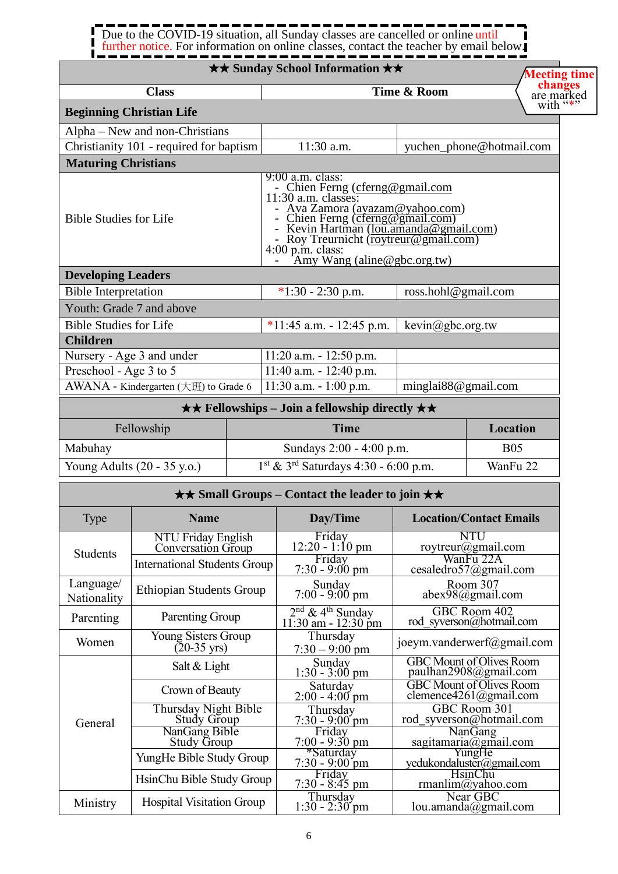### Due to the COVID-19 situation, all Sunday classes are cancelled or online until further notice. For information on online classes, contact the teacher by email below.

#### ★★ **Sunday School Information** ★★ **Class Time & Room Beginning Christian Life** Alpha – New and non-Christians Christianity 101 - required for baptism 11:30 a.m. vuchen\_phone@hotmail.com **Maturing Christians** Bible Studies for Life 9:00 a.m. class: - Chien Ferng [\(cferng@gmail.com](mailto:cferng@gmail.com) 11:30 a.m. classes: - Ava Zamora (avazam@yahoo.com) - Chien Ferng (*cferng@gmail.com*) - Kevin Hartman [\(lou.amanda@gmail.com\)](mailto:lou.amanda@gmail.com) Roy Treurnicht [\(roytreur@gmail.com\)](mailto:roytreur@gmail.com) 4:00 p.m. class: - Amy Wang (aline@gbc.org.tw) **Developing Leaders** Bible Interpretation  $*1:30 - 2:30$  p.m. ross.hohl@gmail.com Youth: Grade 7 and above Bible Studies for Life  $*11:45$  a.m. - 12:45 p.m. kevin@gbc.org.tw **Children** Nursery - Age 3 and under 11:20 a.m. - 12:50 p.m. Preschool - Age 3 to 5 11:40 a.m. - 12:40 p.m. AWANA - Kindergarten  $(\pm \text{H})$  to Grade 6 | 11:30 a.m. - 1:00 p.m. | minglai88@gmail.com **Meeting time changes** are marked with "\*"

| $\star \star$ Fellowships – Join a fellowship directly $\star \star$ |                                                    |            |  |  |
|----------------------------------------------------------------------|----------------------------------------------------|------------|--|--|
| Fellowship                                                           | Time                                               | Location   |  |  |
| Mabuhay                                                              | Sundays 2:00 - 4:00 p.m.                           | <b>B05</b> |  |  |
| Young Adults $(20 - 35 \text{ y.o.})$                                | $1st$ & 3 <sup>rd</sup> Saturdays 4:30 - 6:00 p.m. | WanFu 22   |  |  |

| $\star \star$ Small Groups – Contact the leader to join $\star \star$ |                                              |                                                        |                                                                           |  |
|-----------------------------------------------------------------------|----------------------------------------------|--------------------------------------------------------|---------------------------------------------------------------------------|--|
| <b>Type</b>                                                           | <b>Name</b>                                  | Day/Time                                               | <b>Location/Contact Emails</b>                                            |  |
| <b>Students</b>                                                       | NTU Friday English<br>Conversation Group     | Friday<br>$12:20 - 1:10$ pm                            | NTU<br>roytreur@gmail.com                                                 |  |
|                                                                       | <b>International Students Group</b>          | Friday<br>$7:30 - 9:00 \text{ pm}$                     | WanFu 22A<br>cesaledro57@gmail.com                                        |  |
| Language/<br>Nationality                                              | <b>Ethiopian Students Group</b>              | Sunday<br>$7:00 - 9:00$ pm                             | Room 307<br>abex98@gmail.com                                              |  |
| Parenting                                                             | Parenting Group                              | $\frac{2^{nd} \& 4^{th}$ Sunday<br>11:30 am - 12:30 pm | GBC Room 402<br>rod syverson@hotmail.com                                  |  |
| Women                                                                 | Young Sisters Group<br>$(20-35 \text{ yrs})$ | Thursday<br>$7:30 - 9:00$ pm                           | joeym.vanderwerf@gmail.com                                                |  |
|                                                                       | Salt & Light                                 | Sunday<br>$1:30 - 3:00$ pm                             | <b>GBC</b> Mount of Olives Room<br>paulhan2908@gmail.com                  |  |
| General                                                               | Crown of Beauty                              | Saturday<br>$2:00 - 4:00$ pm                           | <b>GBC Mount of Olives Room</b><br>clemence $4261$ ( $\partial$ gmail.com |  |
|                                                                       | Thursday Night Bible<br>Study Group          | Thursday<br>$7:30 - 9:00$ pm                           | GBC Room 301<br>rod syverson@hotmail.com                                  |  |
|                                                                       | NanGang Bible<br><b>Study Group</b>          | Friday<br>$7:00 - 9:30$ pm                             | NanGang<br>sagitamaria@gmail.com                                          |  |
|                                                                       | YungHe Bible Study Group                     | *Saturday<br>$7:30 - 9:00$ pm                          | YungHe<br>yedukondaluster@gmail.com                                       |  |
|                                                                       | HsinChu Bible Study Group                    | Friday<br>$7:30 - 8:45$ pm                             | <b>HsinChu</b><br>rmanlim@yahoo.com                                       |  |
| Ministry                                                              | <b>Hospital Visitation Group</b>             | Thursday<br>$1:30 - 2:30$ pm                           | Near GBC<br>lou.amanda $@g$ mail.com                                      |  |